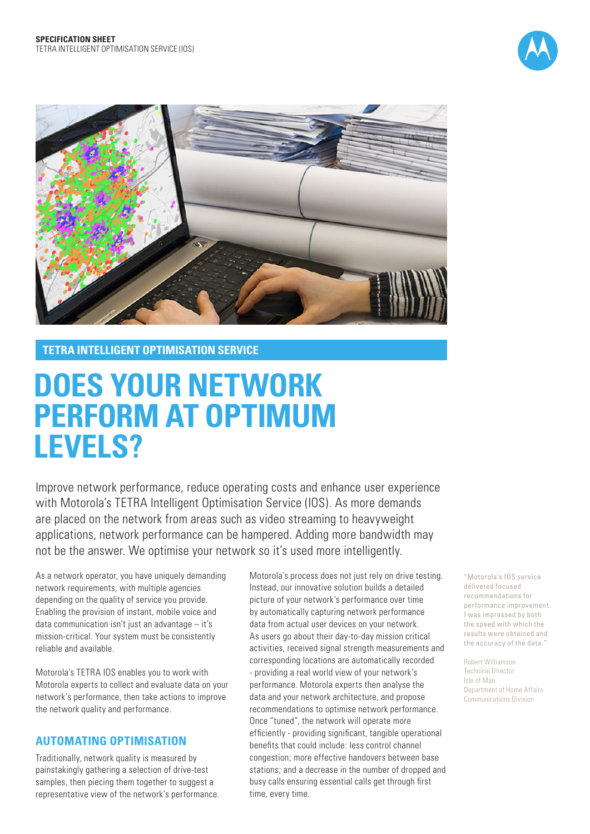



**TETRA INTELLIGENT OPTIMISATION SERVICE**

# **DOES YOUR NETWORK PERFORM AT OPTIMUM LEVELS?**

Improve network performance, reduce operating costs and enhance user experience with Motorola's TETRA Intelligent Optimisation Service (IOS). As more demands are placed on the network from areas such as video streaming to heavyweight applications, network performance can be hampered. Adding more bandwidth may not be the answer. We optimise your network so it's used more intelligently.

As a network operator, you have uniquely demanding network requirements, with multiple agencies depending on the quality of service you provide. Enabling the provision of instant, mobile voice and data communication isn't just an advantage – it's mission-critical. Your system must be consistently reliable and available.

Motorola's TETRA IOS enables you to work with Motorola experts to collect and evaluate data on your network's performance, then take actions to improve the network quality and performance.

## **AUTOMATING OPTIMISATION**

Traditionally, network quality is measured by painstakingly gathering a selection of drive-test samples, then piecing them together to suggest a representative view of the network's performance.

Motorola's process does not just rely on drive testing. Instead, our innovative solution builds a detailed picture of your network's performance over time by automatically capturing network performance data from actual user devices on your network. As users go about their day-to-day mission critical activities, received signal strength measurements and corresponding locations are automatically recorded - providing a real world view of your network's performance. Motorola experts then analyse the data and your network architecture, and propose recommendations to optimise network performance. Once "tuned", the network will operate more efficiently - providing significant, tangible operational benefits that could include: less control channel congestion; more effective handovers between base stations; and a decrease in the number of dropped and busy calls ensuring essential calls get through first time, every time.

"Motorola's IOS service delivered focused recommendations for performance improvement. I was impressed by both the speed with which the results were obtained and the accuracy of the data."

Robert Williamson Technical Director Isle of Man Department of Home Affairs Communications Division